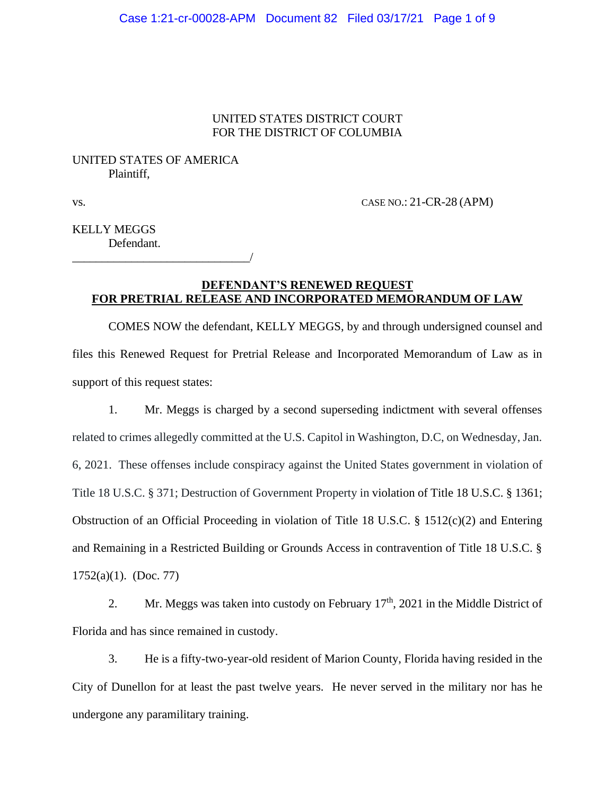## UNITED STATES DISTRICT COURT FOR THE DISTRICT OF COLUMBIA

## UNITED STATES OF AMERICA Plaintiff,

\_\_\_\_\_\_\_\_\_\_\_\_\_\_\_\_\_\_\_\_\_\_\_\_\_\_\_\_\_\_/

vs. CASE NO.: 21-CR-28 (APM)

KELLY MEGGS Defendant.

## **DEFENDANT'S RENEWED REQUEST FOR PRETRIAL RELEASE AND INCORPORATED MEMORANDUM OF LAW**

COMES NOW the defendant, KELLY MEGGS, by and through undersigned counsel and files this Renewed Request for Pretrial Release and Incorporated Memorandum of Law as in support of this request states:

1. Mr. Meggs is charged by a second superseding indictment with several offenses related to crimes allegedly committed at the U.S. Capitol in Washington, D.C, on Wednesday, Jan. 6, 2021. These offenses include conspiracy against the United States government in violation of Title 18 U.S.C. § 371; Destruction of Government Property in violation of Title 18 U.S.C. § 1361; Obstruction of an Official Proceeding in violation of Title 18 U.S.C. § 1512(c)(2) and Entering and Remaining in a Restricted Building or Grounds Access in contravention of Title 18 U.S.C. § 1752(a)(1). (Doc. 77)

2. Mr. Meggs was taken into custody on February  $17<sup>th</sup>$ , 2021 in the Middle District of Florida and has since remained in custody.

3. He is a fifty-two-year-old resident of Marion County, Florida having resided in the City of Dunellon for at least the past twelve years. He never served in the military nor has he undergone any paramilitary training.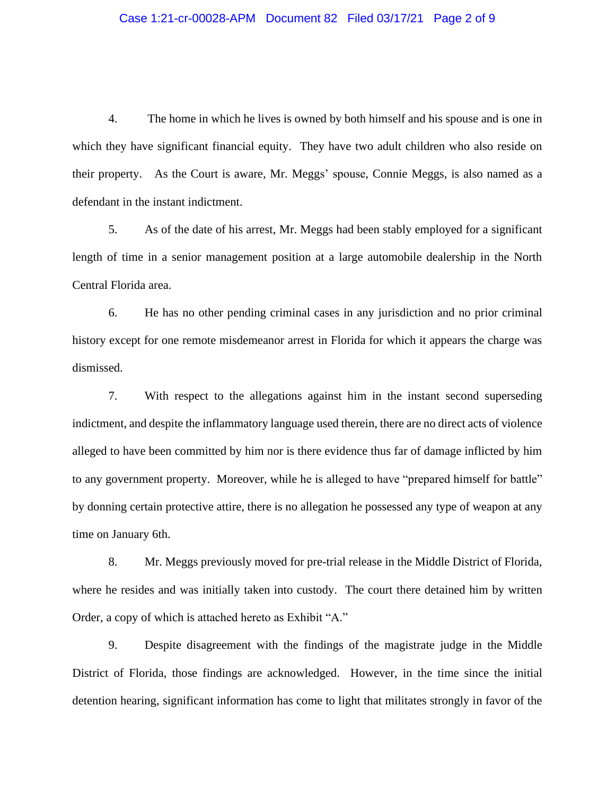### Case 1:21-cr-00028-APM Document 82 Filed 03/17/21 Page 2 of 9

4. The home in which he lives is owned by both himself and his spouse and is one in which they have significant financial equity. They have two adult children who also reside on their property. As the Court is aware, Mr. Meggs' spouse, Connie Meggs, is also named as a defendant in the instant indictment.

5. As of the date of his arrest, Mr. Meggs had been stably employed for a significant length of time in a senior management position at a large automobile dealership in the North Central Florida area.

6. He has no other pending criminal cases in any jurisdiction and no prior criminal history except for one remote misdemeanor arrest in Florida for which it appears the charge was dismissed.

7. With respect to the allegations against him in the instant second superseding indictment, and despite the inflammatory language used therein, there are no direct acts of violence alleged to have been committed by him nor is there evidence thus far of damage inflicted by him to any government property. Moreover, while he is alleged to have "prepared himself for battle" by donning certain protective attire, there is no allegation he possessed any type of weapon at any time on January 6th.

8. Mr. Meggs previously moved for pre-trial release in the Middle District of Florida, where he resides and was initially taken into custody. The court there detained him by written Order, a copy of which is attached hereto as Exhibit "A."

9. Despite disagreement with the findings of the magistrate judge in the Middle District of Florida, those findings are acknowledged. However, in the time since the initial detention hearing, significant information has come to light that militates strongly in favor of the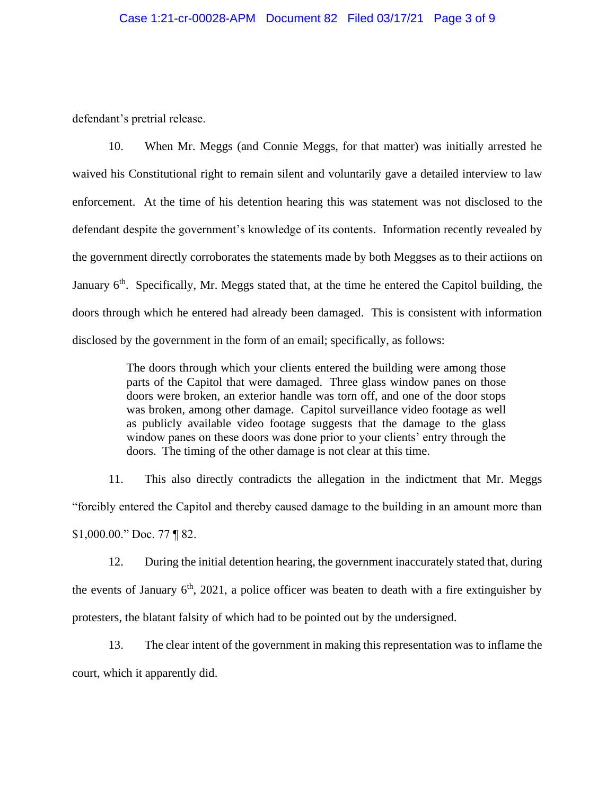defendant's pretrial release.

10. When Mr. Meggs (and Connie Meggs, for that matter) was initially arrested he waived his Constitutional right to remain silent and voluntarily gave a detailed interview to law enforcement. At the time of his detention hearing this was statement was not disclosed to the defendant despite the government's knowledge of its contents. Information recently revealed by the government directly corroborates the statements made by both Meggses as to their actiions on January 6<sup>th</sup>. Specifically, Mr. Meggs stated that, at the time he entered the Capitol building, the doors through which he entered had already been damaged. This is consistent with information disclosed by the government in the form of an email; specifically, as follows:

> The doors through which your clients entered the building were among those parts of the Capitol that were damaged. Three glass window panes on those doors were broken, an exterior handle was torn off, and one of the door stops was broken, among other damage. Capitol surveillance video footage as well as publicly available video footage suggests that the damage to the glass window panes on these doors was done prior to your clients' entry through the doors. The timing of the other damage is not clear at this time.

11. This also directly contradicts the allegation in the indictment that Mr. Meggs "forcibly entered the Capitol and thereby caused damage to the building in an amount more than \$1,000.00." Doc. 77 ¶ 82.

12. During the initial detention hearing, the government inaccurately stated that, during the events of January  $6<sup>th</sup>$ , 2021, a police officer was beaten to death with a fire extinguisher by protesters, the blatant falsity of which had to be pointed out by the undersigned.

13. The clear intent of the government in making this representation was to inflame the court, which it apparently did.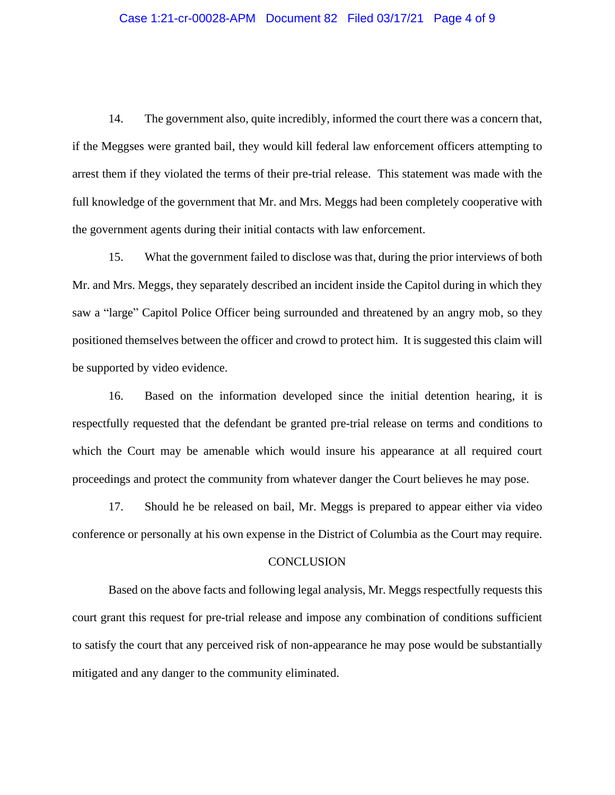#### Case 1:21-cr-00028-APM Document 82 Filed 03/17/21 Page 4 of 9

14. The government also, quite incredibly, informed the court there was a concern that, if the Meggses were granted bail, they would kill federal law enforcement officers attempting to arrest them if they violated the terms of their pre-trial release. This statement was made with the full knowledge of the government that Mr. and Mrs. Meggs had been completely cooperative with the government agents during their initial contacts with law enforcement.

15. What the government failed to disclose was that, during the prior interviews of both Mr. and Mrs. Meggs, they separately described an incident inside the Capitol during in which they saw a "large" Capitol Police Officer being surrounded and threatened by an angry mob, so they positioned themselves between the officer and crowd to protect him. It is suggested this claim will be supported by video evidence.

16. Based on the information developed since the initial detention hearing, it is respectfully requested that the defendant be granted pre-trial release on terms and conditions to which the Court may be amenable which would insure his appearance at all required court proceedings and protect the community from whatever danger the Court believes he may pose.

17. Should he be released on bail, Mr. Meggs is prepared to appear either via video conference or personally at his own expense in the District of Columbia as the Court may require.

#### **CONCLUSION**

Based on the above facts and following legal analysis, Mr. Meggs respectfully requests this court grant this request for pre-trial release and impose any combination of conditions sufficient to satisfy the court that any perceived risk of non-appearance he may pose would be substantially mitigated and any danger to the community eliminated.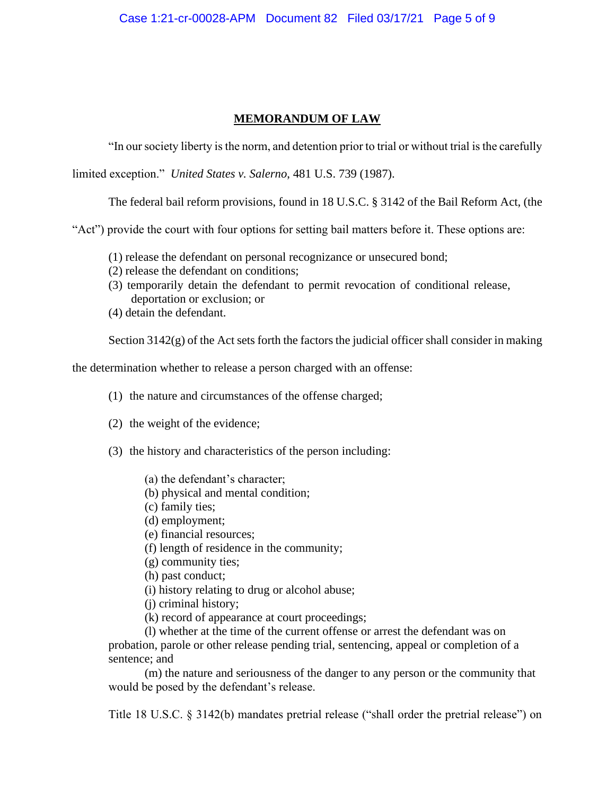## **MEMORANDUM OF LAW**

"In our society liberty is the norm, and detention prior to trial or without trial is the carefully

limited exception." *United States v. Salerno*, 481 U.S. 739 (1987).

The federal bail reform provisions, found in 18 U.S.C. § 3142 of the Bail Reform Act, (the

"Act") provide the court with four options for setting bail matters before it. These options are:

- (1) release the defendant on personal recognizance or unsecured bond;
- (2) release the defendant on conditions;
- (3) temporarily detain the defendant to permit revocation of conditional release, deportation or exclusion; or
- (4) detain the defendant.

Section 3142(g) of the Act sets forth the factors the judicial officer shall consider in making

the determination whether to release a person charged with an offense:

- (1) the nature and circumstances of the offense charged;
- (2) the weight of the evidence;
- (3) the history and characteristics of the person including:
	- (a) the defendant's character;
	- (b) physical and mental condition;
	- (c) family ties;
	- (d) employment;
	- (e) financial resources;
	- (f) length of residence in the community;
	- (g) community ties;
	- (h) past conduct;
	- (i) history relating to drug or alcohol abuse;
	- (j) criminal history;
	- (k) record of appearance at court proceedings;

(l) whether at the time of the current offense or arrest the defendant was on probation, parole or other release pending trial, sentencing, appeal or completion of a sentence; and

(m) the nature and seriousness of the danger to any person or the community that would be posed by the defendant's release.

Title 18 U.S.C. § 3142(b) mandates pretrial release ("shall order the pretrial release") on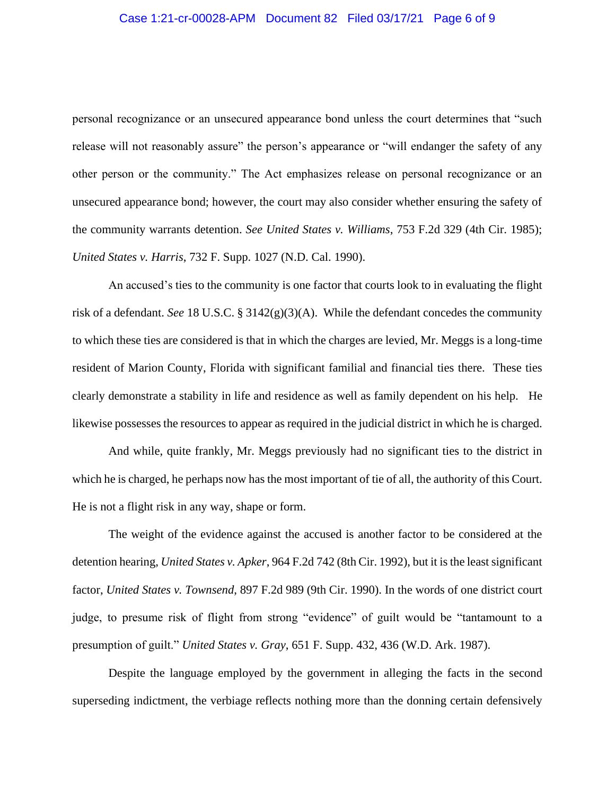## Case 1:21-cr-00028-APM Document 82 Filed 03/17/21 Page 6 of 9

personal recognizance or an unsecured appearance bond unless the court determines that "such release will not reasonably assure" the person's appearance or "will endanger the safety of any other person or the community." The Act emphasizes release on personal recognizance or an unsecured appearance bond; however, the court may also consider whether ensuring the safety of the community warrants detention. *See United States v. Williams*, 753 F.2d 329 (4th Cir. 1985); *United States v. Harris*, 732 F. Supp. 1027 (N.D. Cal. 1990).

An accused's ties to the community is one factor that courts look to in evaluating the flight risk of a defendant. *See* 18 U.S.C. § 3142(g)(3)(A). While the defendant concedes the community to which these ties are considered is that in which the charges are levied, Mr. Meggs is a long-time resident of Marion County, Florida with significant familial and financial ties there. These ties clearly demonstrate a stability in life and residence as well as family dependent on his help. He likewise possesses the resources to appear as required in the judicial district in which he is charged.

And while, quite frankly, Mr. Meggs previously had no significant ties to the district in which he is charged, he perhaps now has the most important of tie of all, the authority of this Court. He is not a flight risk in any way, shape or form.

The weight of the evidence against the accused is another factor to be considered at the detention hearing, *United States v. Apker*, 964 F.2d 742 (8th Cir. 1992), but it is the least significant factor, *United States v. Townsend*, 897 F.2d 989 (9th Cir. 1990). In the words of one district court judge, to presume risk of flight from strong "evidence" of guilt would be "tantamount to a presumption of guilt." *United States v. Gray*, 651 F. Supp. 432, 436 (W.D. Ark. 1987).

Despite the language employed by the government in alleging the facts in the second superseding indictment, the verbiage reflects nothing more than the donning certain defensively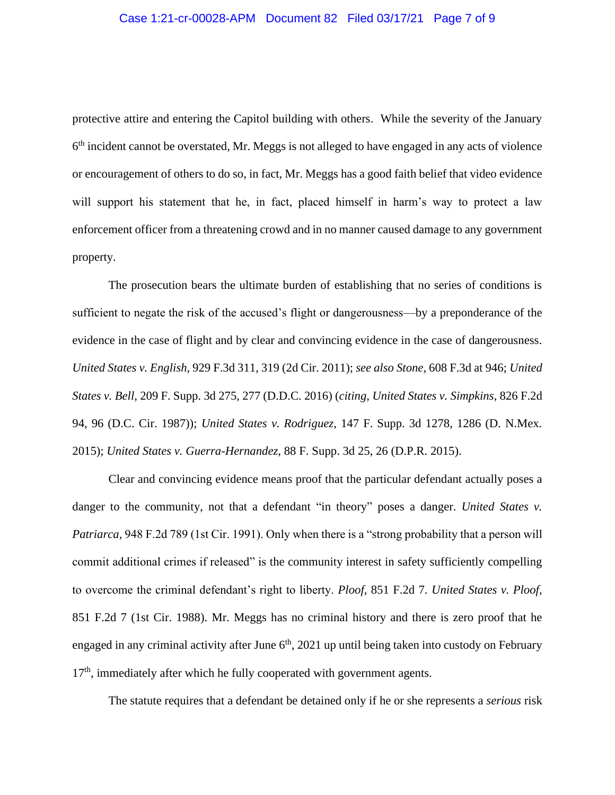## Case 1:21-cr-00028-APM Document 82 Filed 03/17/21 Page 7 of 9

protective attire and entering the Capitol building with others. While the severity of the January 6<sup>th</sup> incident cannot be overstated, Mr. Meggs is not alleged to have engaged in any acts of violence or encouragement of others to do so, in fact, Mr. Meggs has a good faith belief that video evidence will support his statement that he, in fact, placed himself in harm's way to protect a law enforcement officer from a threatening crowd and in no manner caused damage to any government property.

The prosecution bears the ultimate burden of establishing that no series of conditions is sufficient to negate the risk of the accused's flight or dangerousness—by a preponderance of the evidence in the case of flight and by clear and convincing evidence in the case of dangerousness. *United States v. English,* 929 F.3d 311, 319 (2d Cir. 2011); *see also Stone*, 608 F.3d at 946; *United States v. Bell*, 209 F. Supp. 3d 275, 277 (D.D.C. 2016) (*citing, United States v. Simpkins*, 826 F.2d 94, 96 (D.C. Cir. 1987)); *United States v. Rodriguez*, 147 F. Supp. 3d 1278, 1286 (D. N.Mex. 2015); *United States v. Guerra-Hernandez*, 88 F. Supp. 3d 25, 26 (D.P.R. 2015).

Clear and convincing evidence means proof that the particular defendant actually poses a danger to the community, not that a defendant "in theory" poses a danger. *United States v. Patriarca,* 948 F.2d 789 (1st Cir. 1991). Only when there is a "strong probability that a person will commit additional crimes if released" is the community interest in safety sufficiently compelling to overcome the criminal defendant's right to liberty. *Ploof*, 851 F.2d 7. *United States v. Ploof*, 851 F.2d 7 (1st Cir. 1988). Mr. Meggs has no criminal history and there is zero proof that he engaged in any criminal activity after June  $6<sup>th</sup>$ , 2021 up until being taken into custody on February 17<sup>th</sup>, immediately after which he fully cooperated with government agents.

The statute requires that a defendant be detained only if he or she represents a *serious* risk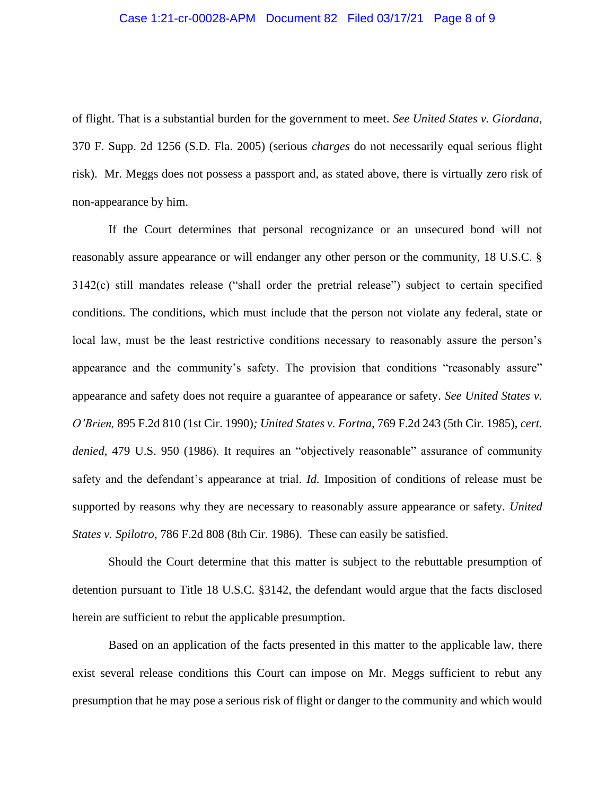### Case 1:21-cr-00028-APM Document 82 Filed 03/17/21 Page 8 of 9

of flight. That is a substantial burden for the government to meet. *See United States v. Giordana,*  370 F. Supp. 2d 1256 (S.D. Fla. 2005) (serious *charges* do not necessarily equal serious flight risk). Mr. Meggs does not possess a passport and, as stated above, there is virtually zero risk of non-appearance by him.

If the Court determines that personal recognizance or an unsecured bond will not reasonably assure appearance or will endanger any other person or the community, 18 U.S.C. § 3142(c) still mandates release ("shall order the pretrial release") subject to certain specified conditions. The conditions, which must include that the person not violate any federal, state or local law, must be the least restrictive conditions necessary to reasonably assure the person's appearance and the community's safety. The provision that conditions "reasonably assure" appearance and safety does not require a guarantee of appearance or safety. *See United States v. O'Brien,* 895 F.2d 810 (1st Cir. 1990)*; United States v. Fortna*, 769 F.2d 243 (5th Cir. 1985), *cert. denied*, 479 U.S. 950 (1986). It requires an "objectively reasonable" assurance of community safety and the defendant's appearance at trial. *Id.* Imposition of conditions of release must be supported by reasons why they are necessary to reasonably assure appearance or safety. *United States v. Spilotro*, 786 F.2d 808 (8th Cir. 1986). These can easily be satisfied.

Should the Court determine that this matter is subject to the rebuttable presumption of detention pursuant to Title 18 U.S.C. §3142, the defendant would argue that the facts disclosed herein are sufficient to rebut the applicable presumption.

Based on an application of the facts presented in this matter to the applicable law, there exist several release conditions this Court can impose on Mr. Meggs sufficient to rebut any presumption that he may pose a serious risk of flight or danger to the community and which would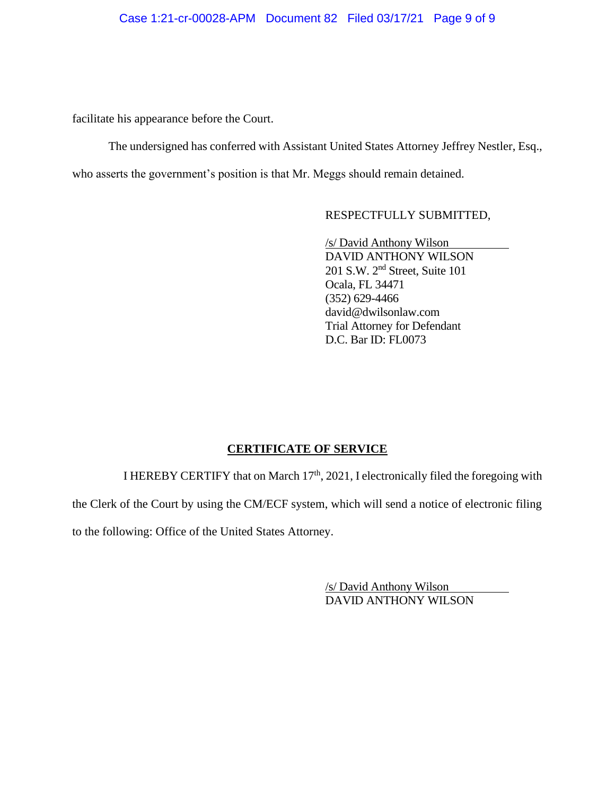## Case 1:21-cr-00028-APM Document 82 Filed 03/17/21 Page 9 of 9

facilitate his appearance before the Court.

The undersigned has conferred with Assistant United States Attorney Jeffrey Nestler, Esq., who asserts the government's position is that Mr. Meggs should remain detained.

## RESPECTFULLY SUBMITTED,

 /s/ David Anthony Wilson DAVID ANTHONY WILSON 201 S.W. 2nd Street, Suite 101 Ocala, FL 34471 (352) 629-4466 david@dwilsonlaw.com Trial Attorney for Defendant D.C. Bar ID: FL0073

## **CERTIFICATE OF SERVICE**

I HEREBY CERTIFY that on March  $17<sup>th</sup>$ , 2021, I electronically filed the foregoing with

the Clerk of the Court by using the CM/ECF system, which will send a notice of electronic filing

to the following: Office of the United States Attorney.

 /s/ David Anthony Wilson DAVID ANTHONY WILSON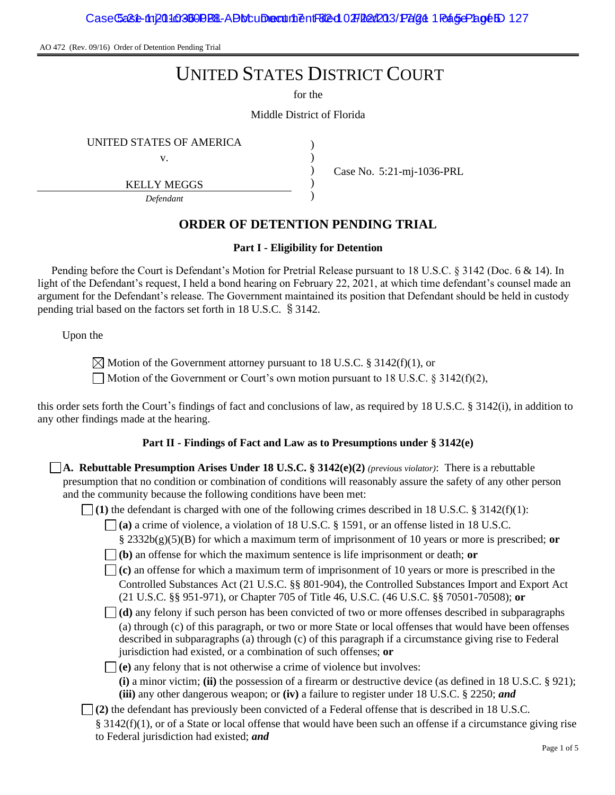AO 472 (Rev. 09/16) Order of Detention Pending Trial

# UNITED STATES DISTRICT COURT

for the

Middle District of Florida

) ) ) )

UNITED STATES OF AMERICA )

v.

KELLY MEGGS

*Defendant*

Case No. 5:21-mj-1036-PRL

# **ORDER OF DETENTION PENDING TRIAL**

## **Part I - Eligibility for Detention**

Pending before the Court is Defendant's Motion for Pretrial Release pursuant to 18 U.S.C. § 3142 (Doc. 6 & 14). In light of the Defendant's request, I held a bond hearing on February 22, 2021, at which time defendant's counsel made an argument for the Defendant's release. The Government maintained its position that Defendant should be held in custody pending trial based on the factors set forth in 18 U.S.C. §3142.

Upon the

 $\boxtimes$  Motion of the Government attorney pursuant to 18 U.S.C. § 3142(f)(1), or

 $\Box$  Motion of the Government or Court's own motion pursuant to 18 U.S.C. § 3142(f)(2),

this order sets forth the Court's findings of fact and conclusions of law, as required by 18 U.S.C. § 3142(i), in addition to any other findings made at the hearing.

## **Part II - Findings of Fact and Law as to Presumptions under § 3142(e)**

**A. Rebuttable Presumption Arises Under 18 U.S.C. § 3142(e)(2)** *(previous violator)*: There is a rebuttable presumption that no condition or combination of conditions will reasonably assure the safety of any other person and the community because the following conditions have been met:

 $\Box$  (1) the defendant is charged with one of the following crimes described in 18 U.S.C. § 3142(f)(1):

**(a)** a crime of violence, a violation of 18 U.S.C. § 1591, or an offense listed in 18 U.S.C.

§ 2332b(g)(5)(B) for which a maximum term of imprisonment of 10 years or more is prescribed; **or**

**(b)** an offense for which the maximum sentence is life imprisonment or death; **or**

**(c)** an offense for which a maximum term of imprisonment of 10 years or more is prescribed in the Controlled Substances Act (21 U.S.C. §§ 801-904), the Controlled Substances Import and Export Act (21 U.S.C. §§ 951-971), or Chapter 705 of Title 46, U.S.C. (46 U.S.C. §§ 70501-70508); **or**

**(d)** any felony if such person has been convicted of two or more offenses described in subparagraphs (a) through (c) of this paragraph, or two or more State or local offenses that would have been offenses described in subparagraphs (a) through (c) of this paragraph if a circumstance giving rise to Federal jurisdiction had existed, or a combination of such offenses; **or**

 $\Box$  (e) any felony that is not otherwise a crime of violence but involves:

**(i)** a minor victim; **(ii)** the possession of a firearm or destructive device (as defined in 18 U.S.C. § 921); **(iii)** any other dangerous weapon; or **(iv)** a failure to register under 18 U.S.C. § 2250; *and*

**(2)** the defendant has previously been convicted of a Federal offense that is described in 18 U.S.C.

 $§$  3142(f)(1), or of a State or local offense that would have been such an offense if a circumstance giving rise to Federal jurisdiction had existed; *and*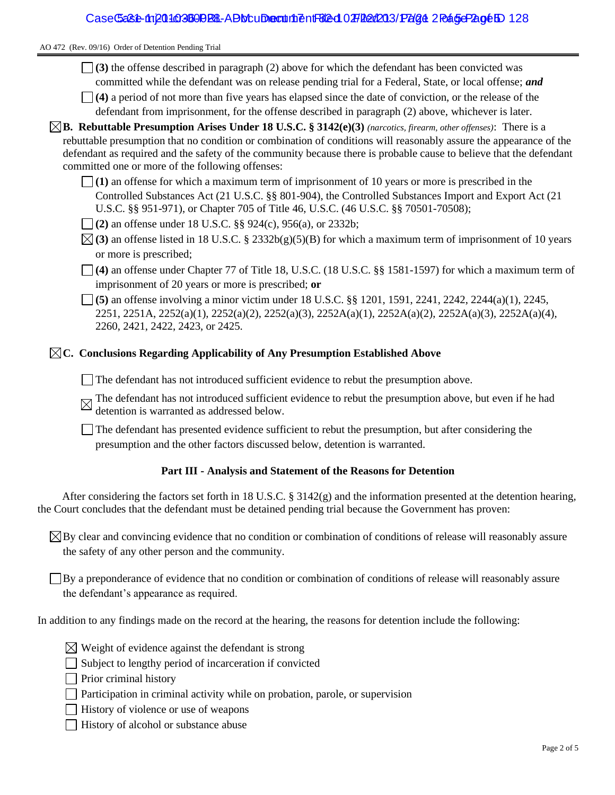AO 472 (Rev. 09/16) Order of Detention Pending Trial

- **(3)** the offense described in paragraph (2) above for which the defendant has been convicted was committed while the defendant was on release pending trial for a Federal, State, or local offense; *and*
- **(4)** a period of not more than five years has elapsed since the date of conviction, or the release of the defendant from imprisonment, for the offense described in paragraph (2) above, whichever is later.
- **B. Rebuttable Presumption Arises Under 18 U.S.C. § 3142(e)(3)** *(narcotics, firearm, other offenses)*: There is a rebuttable presumption that no condition or combination of conditions will reasonably assure the appearance of the defendant as required and the safety of the community because there is probable cause to believe that the defendant committed one or more of the following offenses:
	- **(1)** an offense for which a maximum term of imprisonment of 10 years or more is prescribed in the Controlled Substances Act (21 U.S.C. §§ 801-904), the Controlled Substances Import and Export Act (21 U.S.C. §§ 951-971), or Chapter 705 of Title 46, U.S.C. (46 U.S.C. §§ 70501-70508);
	- **(2)** an offense under 18 U.S.C. §§ 924(c), 956(a), or 2332b;
	- $\boxtimes$  (3) an offense listed in 18 U.S.C. § 2332b(g)(5)(B) for which a maximum term of imprisonment of 10 years or more is prescribed;
	- **(4)** an offense under Chapter 77 of Title 18, U.S.C. (18 U.S.C. §§ 1581-1597) for which a maximum term of imprisonment of 20 years or more is prescribed; **or**
	- **(5)** an offense involving a minor victim under 18 U.S.C. §§ 1201, 1591, 2241, 2242, 2244(a)(1), 2245, 2251, 2251A, 2252(a)(1), 2252(a)(2), 2252(a)(3), 2252A(a)(1), 2252A(a)(2), 2252A(a)(3), 2252A(a)(4), 2260, 2421, 2422, 2423, or 2425.

## **C. Conclusions Regarding Applicability of Any Presumption Established Above**

- The defendant has not introduced sufficient evidence to rebut the presumption above.
- The defendant has not introduced sufficient evidence to rebut the presumption above, but even if he had detention is warranted as addressed below.
- The defendant has presented evidence sufficient to rebut the presumption, but after considering the presumption and the other factors discussed below, detention is warranted.

## **Part III - Analysis and Statement of the Reasons for Detention**

After considering the factors set forth in 18 U.S.C. § 3142(g) and the information presented at the detention hearing, the Court concludes that the defendant must be detained pending trial because the Government has proven:

 $\boxtimes$  By clear and convincing evidence that no condition or combination of conditions of release will reasonably assure the safety of any other person and the community.

By a preponderance of evidence that no condition or combination of conditions of release will reasonably assure the defendant's appearance as required.

In addition to any findings made on the record at the hearing, the reasons for detention include the following:

- $\boxtimes$  Weight of evidence against the defendant is strong
- $\Box$  Subject to lengthy period of incarceration if convicted
- $\Box$  Prior criminal history
- □ Participation in criminal activity while on probation, parole, or supervision
- $\Box$  History of violence or use of weapons
- History of alcohol or substance abuse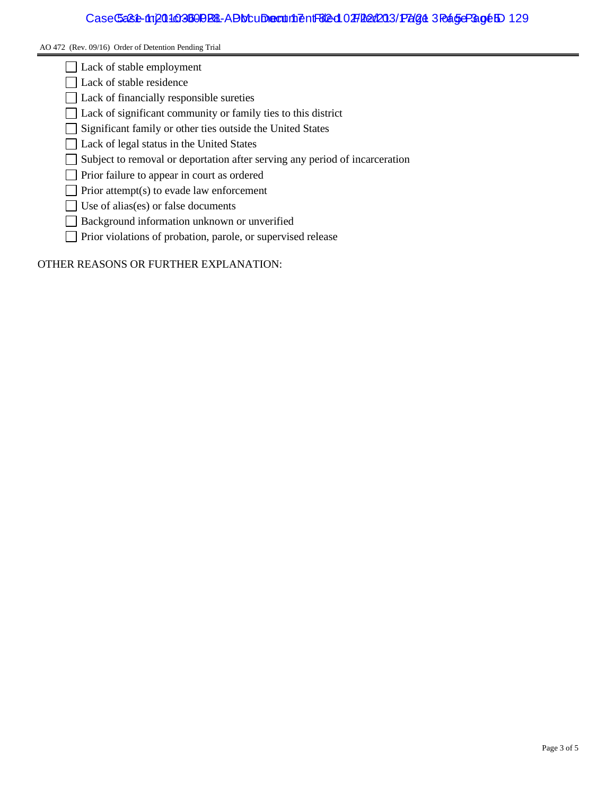## Case Ga82-mp010360PRL-ADM uDecument Filed 027 Red 203/ Page 3 Page Page 10 129

#### AO 472 (Rev. 09/16) Order of Detention Pending Trial

- Lack of stable employment
- Lack of stable residence
- Lack of financially responsible sureties
- □ Lack of significant community or family ties to this district
- Significant family or other ties outside the United States
- □ Lack of legal status in the United States
- Subject to removal or deportation after serving any period of incarceration
- Prior failure to appear in court as ordered
- $\Box$  Prior attempt(s) to evade law enforcement
- $\Box$  Use of alias(es) or false documents
- Background information unknown or unverified
- Prior violations of probation, parole, or supervised release

OTHER REASONS OR FURTHER EXPLANATION: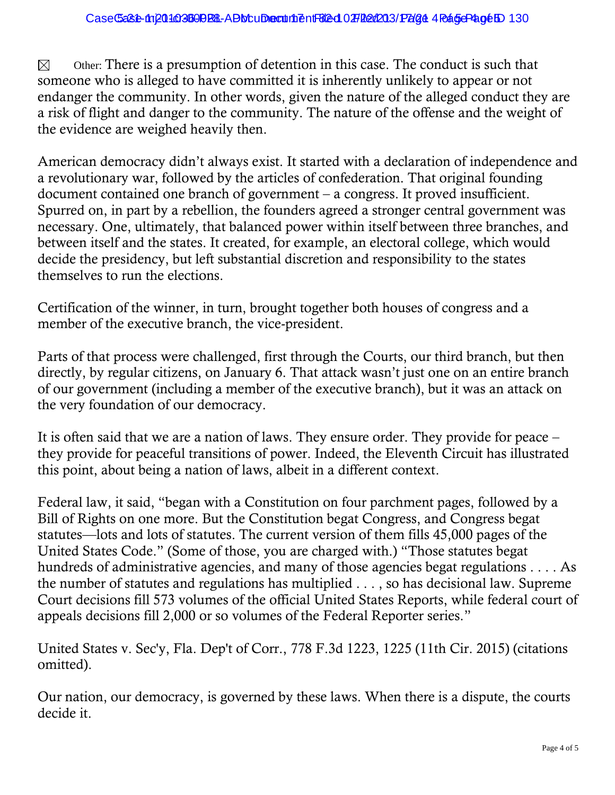Other: There is a presumption of detention in this case. The conduct is such that  $\boxtimes$ someone who is alleged to have committed it is inherently unlikely to appear or not endanger the community. In other words, given the nature of the alleged conduct they are a risk of flight and danger to the community. The nature of the offense and the weight of the evidence are weighed heavily then.

American democracy didn't always exist. It started with a declaration of independence and a revolutionary war, followed by the articles of confederation. That original founding document contained one branch of government – a congress. It proved insufficient. Spurred on, in part by a rebellion, the founders agreed a stronger central government was necessary. One, ultimately, that balanced power within itself between three branches, and between itself and the states. It created, for example, an electoral college, which would decide the presidency, but left substantial discretion and responsibility to the states themselves to run the elections.

Certification of the winner, in turn, brought together both houses of congress and a member of the executive branch, the vice-president.

Parts of that process were challenged, first through the Courts, our third branch, but then directly, by regular citizens, on January 6. That attack wasn't just one on an entire branch of our government (including a member of the executive branch), but it was an attack on the very foundation of our democracy.

It is often said that we are a nation of laws. They ensure order. They provide for peace – they provide for peaceful transitions of power. Indeed, the Eleventh Circuit has illustrated this point, about being a nation of laws, albeit in a different context.

Federal law, it said, "began with a Constitution on four parchment pages, followed by a Bill of Rights on one more. But the Constitution begat Congress, and Congress begat statutes—lots and lots of statutes. The current version of them fills 45,000 pages of the United States Code." (Some of those, you are charged with.) "Those statutes begat hundreds of administrative agencies, and many of those agencies begat regulations . . . . As the number of statutes and regulations has multiplied . . . , so has decisional law. Supreme Court decisions fill 573 volumes of the official United States Reports, while federal court of appeals decisions fill 2,000 or so volumes of the Federal Reporter series."

United States v. Sec'y, Fla. Dep't of Corr., 778 F.3d 1223, 1225 (11th Cir. 2015) (citations omitted).

Our nation, our democracy, is governed by these laws. When there is a dispute, the courts decide it.